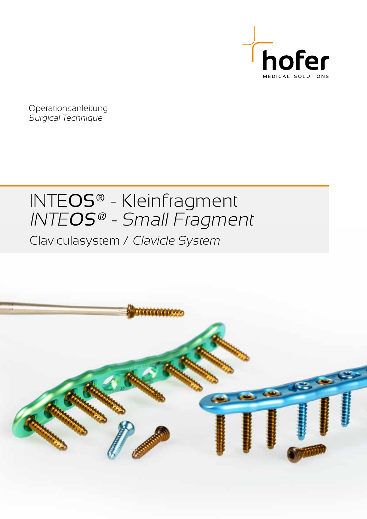

Operationsanleitung Surgical Technique

## INTEOS® - Kleinfragment INTEOS® - Small Fragment Claviculasystem / Clavicle System

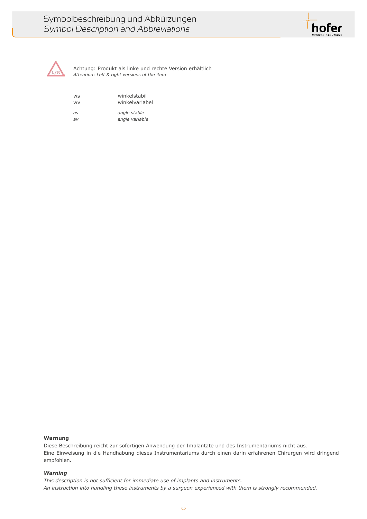



Achtung: Produkt als linke und rechte Version erhältlich *Attention: Left & right versions of the item*

| <b>WS</b><br><b>WV</b> | winkelstabil<br>winkelvariabel |
|------------------------|--------------------------------|
| as                     | angle stable                   |
| av                     | angle variable                 |

## **Warnung**

Diese Beschreibung reicht zur sofortigen Anwendung der Implantate und des Instrumentariums nicht aus. Eine Einweisung in die Handhabung dieses Instrumentariums durch einen darin erfahrenen Chirurgen wird dringend empfohlen.

#### *Warning*

*This description is not sufficient for immediate use of implants and instruments. An instruction into handling these instruments by a surgeon experienced with them is strongly recommended.*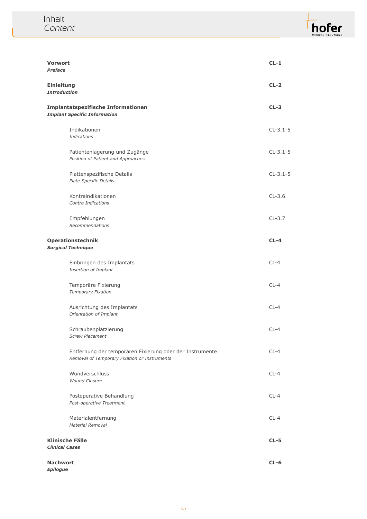

| <b>Vorwort</b><br><b>Preface</b>                                                                         | $CL-1$     |
|----------------------------------------------------------------------------------------------------------|------------|
| <b>Einleitung</b><br><b>Introduction</b>                                                                 |            |
| Implantatspezifische Informationen<br><b>Implant Specific Information</b>                                | $CL-3$     |
| Indikationen<br><b>Indications</b>                                                                       | $CL-3.1-5$ |
| Patientenlagerung und Zugänge<br>Position of Patient and Approaches                                      | $CL-3.1-5$ |
| Plattenspezifische Details<br><b>Plate Specific Details</b>                                              | $CL-3.1-5$ |
| Kontraindikationen<br>Contra Indications                                                                 | $CL-3.6$   |
| Empfehlungen<br>Recommendations                                                                          | $CL-3.7$   |
| <b>Operationstechnik</b><br><b>Surgical Technique</b>                                                    | $CL-4$     |
| Einbringen des Implantats<br>Insertion of Implant                                                        | $CL-4$     |
| Temporäre Fixierung<br><b>Temporary Fixation</b>                                                         | $CL-4$     |
| Ausrichtung des Implantats<br>Orientation of Implant                                                     | $CL-4$     |
| Schraubenplatzierung<br><b>Screw Placement</b>                                                           | $CL-4$     |
| Entfernung der temporären Fixierung oder der Instrumente<br>Removal of Temporary Fixation or Instruments | $CL-4$     |
| Wundverschluss<br><b>Wound Closure</b>                                                                   | $CL-4$     |
| Postoperative Behandlung<br>Post-operative Treatment                                                     | $CL-4$     |
| Materialentfernung<br><b>Material Removal</b>                                                            | $CL-4$     |
| <b>Klinische Fälle</b><br><b>Clinical Cases</b>                                                          | $CL-5$     |
| <b>Nachwort</b><br><b>Epilogue</b>                                                                       | $CL-6$     |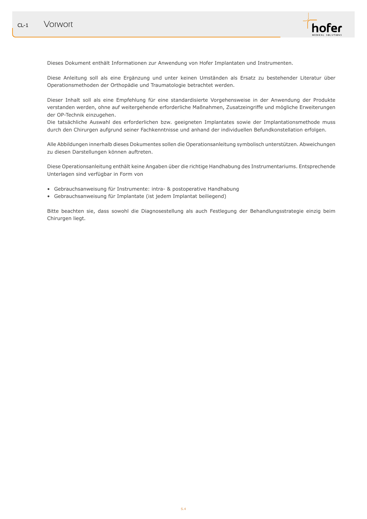

Dieses Dokument enthält Informationen zur Anwendung von Hofer Implantaten und Instrumenten.

Diese Anleitung soll als eine Ergänzung und unter keinen Umständen als Ersatz zu bestehender Literatur über Operationsmethoden der Orthopädie und Traumatologie betrachtet werden.

Dieser Inhalt soll als eine Empfehlung für eine standardisierte Vorgehensweise in der Anwendung der Produkte verstanden werden, ohne auf weitergehende erforderliche Maßnahmen, Zusatzeingriffe und mögliche Erweiterungen der OP-Technik einzugehen.

Die tatsächliche Auswahl des erforderlichen bzw. geeigneten Implantates sowie der Implantationsmethode muss durch den Chirurgen aufgrund seiner Fachkenntnisse und anhand der individuellen Befundkonstellation erfolgen.

Alle Abbildungen innerhalb dieses Dokumentes sollen die Operationsanleitung symbolisch unterstützen. Abweichungen zu diesen Darstellungen können auftreten.

Diese Operationsanleitung enthält keine Angaben über die richtige Handhabung des Instrumentariums. Entsprechende Unterlagen sind verfügbar in Form von

- Gebrauchsanweisung für Instrumente: intra- & postoperative Handhabung
- Gebrauchsanweisung für Implantate (ist jedem Implantat beiliegend)

Bitte beachten sie, dass sowohl die Diagnosestellung als auch Festlegung der Behandlungsstrategie einzig beim Chirurgen liegt.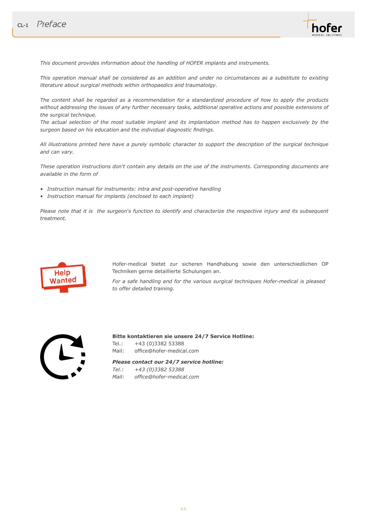

*This document provides information about the handling of HOFER implants and instruments.*

*This operation manual shall be considered as an addition and under no circumstances as a substitute to existing literature about surgical methods within orthopaedics and traumatolgy.*

*The content shall be regarded as a recommendation for a standardized procedure of how to apply the products without addressing the issues of any further necessary tasks, additional operative actions and possible extensions of the surgical technique.*

*The actual selection of the most suitable implant and its implantation method has to happen exclusively by the surgeon based on his education and the individual diagnostic findings.*

*All illustrations printed here have a purely symbolic character to support the description of the surgical technique and can vary.*

*These operation instructions don't contain any details on the use of the instruments. Corresponding documents are available in the form of*

- *• Instruction manual for instruments: intra and post-operative handling*
- *• Instruction manual for implants (enclosed to each implant)*

*Please note that it is the surgeon's function to identify and characterize the respective injury and its subsequent treatment.* 



Hofer-medical bietet zur sicheren Handhabung sowie den unterschiedlichen OP Techniken gerne detaillierte Schulungen an.

*For a safe handling and for the various surgical techniques Hofer-medical is pleased to offer detailed training.* 



**Bitte kontaktieren sie unsere 24/7 Service Hotline:**

Tel.: +43 (0)3382 53388 Mail: office@hofer-medical.com

*Please contact our 24/7 service hotline:*

*Tel.: +43 (0)3382 53388*

*Mail: office@hofer-medical.com*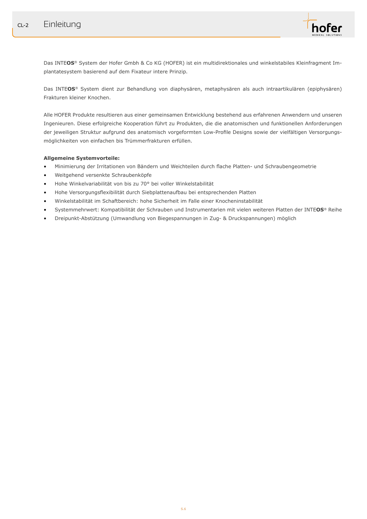

Das INTE**OS**® System der Hofer Gmbh & Co KG (HOFER) ist ein multidirektionales und winkelstabiles Kleinfragment Implantatesystem basierend auf dem Fixateur intere Prinzip.

Das INTE**OS**® System dient zur Behandlung von diaphysären, metaphysären als auch intraartikulären (epiphysären) Frakturen kleiner Knochen.

Alle HOFER Produkte resultieren aus einer gemeinsamen Entwicklung bestehend aus erfahrenen Anwendern und unseren Ingenieuren. Diese erfolgreiche Kooperation führt zu Produkten, die die anatomischen und funktionellen Anforderungen der jeweiligen Struktur aufgrund des anatomisch vorgeformten Low-Profile Designs sowie der vielfältigen Versorgungsmöglichkeiten von einfachen bis Trümmerfrakturen erfüllen.

## **Allgemeine Systemvorteile:**

- Minimierung der Irritationen von Bändern und Weichteilen durch flache Platten- und Schraubengeometrie
- Weitgehend versenkte Schraubenköpfe
- Hohe Winkelvariabilität von bis zu 70° bei voller Winkelstabilität
- Hohe Versorgungsflexibilität durch Siebplattenaufbau bei entsprechenden Platten
- Winkelstabilität im Schaftbereich: hohe Sicherheit im Falle einer Knocheninstabilität
- Systemmehrwert: Kompatibilität der Schrauben und Instrumentarien mit vielen weiteren Platten der INTE**OS**® Reihe
- Dreipunkt-Abstützung (Umwandlung von Biegespannungen in Zug- & Druckspannungen) möglich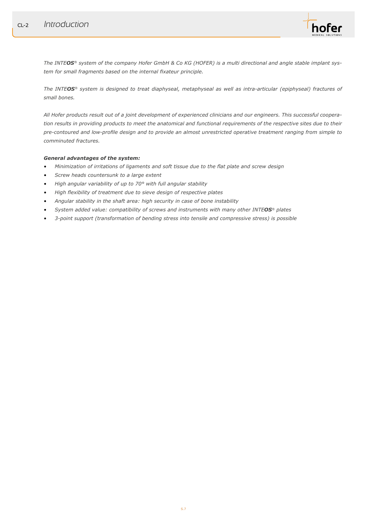

*The INTEOS® system of the company Hofer GmbH & Co KG (HOFER) is a multi directional and angle stable implant system for small fragments based on the internal fixateur principle.*

*The INTEOS® system is designed to treat diaphyseal, metaphyseal as well as intra-articular (epiphyseal) fractures of small bones.* 

*All Hofer products result out of a joint development of experienced clinicians and our engineers. This successful cooperation results in providing products to meet the anatomical and functional requirements of the respective sites due to their pre-contoured and low-profile design and to provide an almost unrestricted operative treatment ranging from simple to comminuted fractures.*

## *General advantages of the system:*

- *• Minimization of irritations of ligaments and soft tissue due to the flat plate and screw design*
- *• Screw heads countersunk to a large extent*
- *• High angular variability of up to 70° with full angular stability*
- *• High flexibility of treatment due to sieve design of respective plates*
- *• Angular stability in the shaft area: high security in case of bone instability*
- *• System added value: compatibility of screws and instruments with many other INTEOS® plates*
- *• 3-point support (transformation of bending stress into tensile and compressive stress) is possible*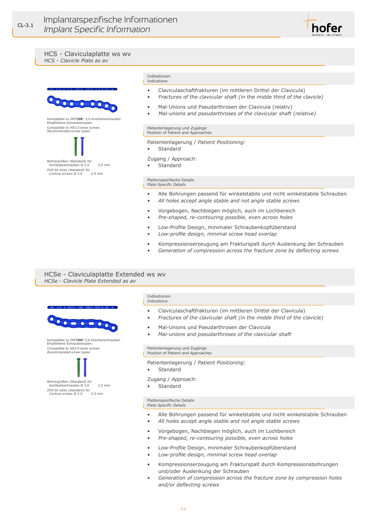HCS - Claviculaplatte ws wv *HCS - Clavicle Plate as av*



#### Indikationen *Indications*

- Claviculaschaftfrakturen (im mittleren Drittel der Clavicula)
- Fractures of the clavicular shaft (in the midde third of the clavicle)

hofer

- Mal-Unions und Pseudarthrosen der Clavicula (relativ)
- Mal-unions and pseudarthroses of the clavicular shaft (relative)

#### *Patientenlagerung und Zugänge* Position of Patient and Approaches

Patientenlagerung / *Patient Positioning*:

**Standard** 

Zugang / *Approach*:

**Standard** 

#### Plattenspezifische Details *Plate Specific Details*

- Alle Bohrungen passend für winkelstabile und nicht winkelstabile Schrauben
- *• All holes accept angle stable and not angle stable screws*
- Vorgebogen, Nachbiegen möglich, auch im Lochbereich
- *• Pre-shaped, re-contouring possible, even across holes*
- Low-Profile Design, minimaler Schraubenkopfüberstand
- *• Low-profile design, minimal screw head overlap*
- Kompressionserzeugung am Frakturspalt durch Auslenkung der Schrauben
- *• Generation of compression across the fracture zone by deflecting screws*

#### HCSe - Claviculaplatte Extended ws wv *HCSe - Clavicle Plate Extended as av*





Bohrergrößen (Standard) für Kortikalisschrauben Ø 3,0 2,5 mm *Drill bit sizes (standard) for Cortical screws Ø 3.0* 

#### Indikationen *Indications*

- Claviculaschaftfrakturen (im mittleren Drittel der Clavicula)
- *• Fractures of the clavicular shaft (in the midde third of the clavicle)*
- Mal-Unions und Pseudarthrosen der Clavicula
- *• Mal-unions and pseudarthroses of the clavicular shaft*

#### Patientenlagerung und Zugänge *Position of Patient and Approaches*

Patientenlagerung / *Patient Positioning*:

• Standard

Zugang / *Approach*:

**Standard** 

- Alle Bohrungen passend für winkelstabile und nicht winkelstabile Schrauben
- *• All holes accept angle stable and not angle stable screws*
- Vorgebogen, Nachbiegen möglich, auch im Lochbereich
- *• Pre-shaped, re-contouring possible, even across holes*
- Low-Profile Design, minimaler Schraubenkopfüberstand
- *• Low-profile design, minimal screw head overlap*
- Kompressionserzeugung am Frakturspalt durch Kompressionsbohrungen und/oder Auslenkung der Schrauben
- *• Generation of compression across the fracture zone by compression holes and/or deflecting screws*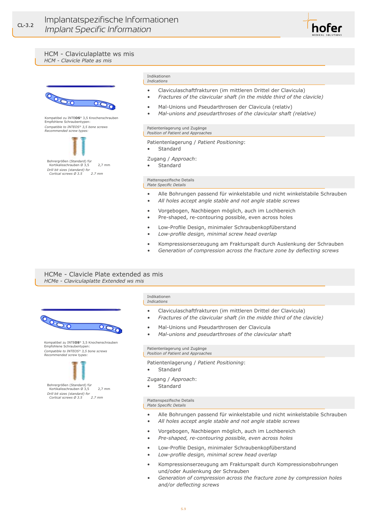

HCM - Claviculaplatte ws mis *HCM - Clavicle Plate as mis*



#### Indikationen *Indications*

- Claviculaschaftfrakturen (im mittleren Drittel der Clavicula)
- *• Fractures of the clavicular shaft (in the midde third of the clavicle)*
- Mal-Unions und Pseudarthrosen der Clavicula (relativ)
- *• Mal-unions and pseudarthroses of the clavicular shaft (relative)*

#### Patientenlagerung und Zugänge *Position of Patient and Approaches*

Patientenlagerung / *Patient Positioning*:

**Standard** 

Zugang / *Approach*:

**Standard** 

#### Plattenspezifische Details *Plate Specific Details*

- Alle Bohrungen passend für winkelstabile und nicht winkelstabile Schrauben
- *• All holes accept angle stable and not angle stable screws*
- Vorgebogen, Nachbiegen möglich, auch im Lochbereich
- Pre-shaped, re-contouring possible, even across holes
- Low-Profile Design, minimaler Schraubenkopfüberstand
- *• Low-profile design, minimal screw head overlap*
- Kompressionserzeugung am Frakturspalt durch Auslenkung der Schrauben
- *• Generation of compression across the fracture zone by deflecting screws*

#### HCMe - Clavicle Plate extended as mis *HCMe - Claviculaplatte Extended ws mis*







Bohrergrößen (Standard) für Kortikalisschrauben Ø 3,5 2,7 mm *Drill bit sizes (standard) for Cortical screws Ø 3.5 2.7 mm*

#### Indikationen

- *Indications*
- Claviculaschaftfrakturen (im mittleren Drittel der Clavicula)
- *• Fractures of the clavicular shaft (in the midde third of the clavicle)*
- Mal-Unions und Pseudarthrosen der Clavicula
- *• Mal-unions and pseudarthroses of the clavicular shaft*

#### Patientenlagerung und Zugänge *Position of Patient and Approaches*

Patientenlagerung / *Patient Positioning*:

• Standard

Zugang / *Approach*:

**Standard** 

- Alle Bohrungen passend für winkelstabile und nicht winkelstabile Schrauben
- *• All holes accept angle stable and not angle stable screws*
- Vorgebogen, Nachbiegen möglich, auch im Lochbereich
- *• Pre-shaped, re-contouring possible, even across holes*
- Low-Profile Design, minimaler Schraubenkopfüberstand
- *• Low-profile design, minimal screw head overlap*
- Kompressionserzeugung am Frakturspalt durch Kompressionsbohrungen und/oder Auslenkung der Schrauben
- *• Generation of compression across the fracture zone by compression holes and/or deflecting screws*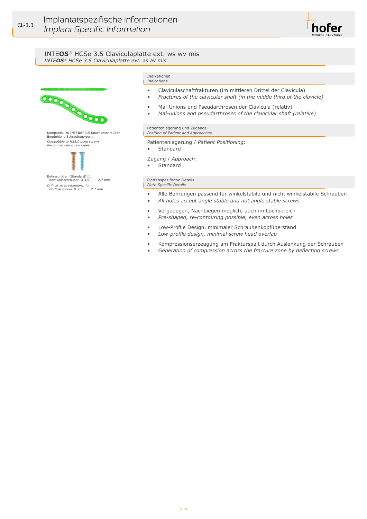

## INTE**OS**® HCSe 3.5 Claviculaplatte ext. ws wv mis *INTEOS® HCSe 3.5 Claviculaplatte ext. as av mis*



Kompatibel zu INTE**OS**® 3,5 Knochenschrauben Empfohlene Schraubentypen: *Compatible to HS3.0 bone screws Recommended screw types:*



Bohrergrößen (Standard) für Kortikalisschrauben Ø 3,5 2,7 mm *Drill bit sizes (standard) for Cortical screws Ø 3.5* 

#### Indikationen *Indications*

- Claviculaschaftfrakturen (im mittleren Drittel der Clavicula)
- *• Fractures of the clavicular shaft (in the midde third of the clavicle)*
- Mal-Unions und Pseudarthrosen der Clavicula (relativ)
- *• Mal-unions and pseudarthroses of the clavicular shaft (relative)*

#### Patientenlagerung und Zugänge *Position of Patient and Approaches*

Patientenlagerung / *Patient Positioning*:

• Standard

Zugang / *Approach*:

**Standard** 

- Alle Bohrungen passend für winkelstabile und nicht winkelstabile Schrauben
- *• All holes accept angle stable and not angle stable screws*
- Vorgebogen, Nachbiegen möglich, auch im Lochbereich
- *• Pre-shaped, re-contouring possible, even across holes*
- Low-Profile Design, minimaler Schraubenkopfüberstand
- *• Low-profile design, minimal screw head overlap*
- Kompressionserzeugung am Frakturspalt durch Auslenkung der Schrauben
- *• Generation of compression across the fracture zone by deflecting screws*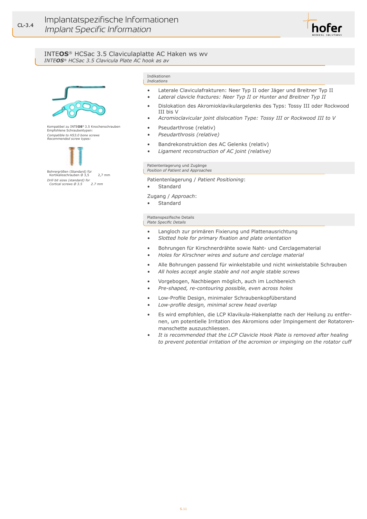

## INTE**OS**® HCSac 3.5 Claviculaplatte AC Haken ws wv *INTEOS® HCSac 3.5 Clavicula Plate AC hook as av*



Kompatibel zu INTE**OS**® 3.5 Knochenschrauben Empfohlene Schraubentypen: *Compatible to HS3.0 bone screws Recommended screw types:*



Bohrergrößen (Standard) für Kortikalisschrauben Ø 3,5 2,7 mm *Drill bit sizes (standard) for*  Cortical screws Ø 3.5

#### Indikationen *Indications*

- Laterale Claviculafrakturen: Neer Typ II oder Jäger und Breitner Typ II
- *• Lateral clavicle fractures: Neer Typ II or Hunter and Breitner Typ II*
- Dislokation des Akromioklavikulargelenks des Typs: Tossy III oder Rockwood III bis V
- *• Acromioclavicular joint dislocation Type: Tossy III or Rockwood III to V*
- Pseudarthrose (relativ)
- *• Pseudarthrosis (relative)*
- Bandrekonstruktion des AC Gelenks (relativ)
- *• Ligament reconstruction of AC joint (relative)*

#### Patientenlagerung und Zugänge *Position of Patient and Approaches*

Patientenlagerung / *Patient Positioning*:

• Standard

#### Zugang / *Approach*:

**Standard** 

- Langloch zur primären Fixierung und Plattenausrichtung
- *• Slotted hole for primary fixation and plate orientation*
- Bohrungen für Kirschnerdrähte sowie Naht- und Cerclagematerial
	- *• Holes for Kirschner wires and suture and cerclage material*
- Alle Bohrungen passend für winkelstabile und nicht winkelstabile Schrauben
- *• All holes accept angle stable and not angle stable screws*
- Vorgebogen, Nachbiegen möglich, auch im Lochbereich
- *• Pre-shaped, re-contouring possible, even across holes*
- Low-Profile Design, minimaler Schraubenkopfüberstand
- *• Low-profile design, minimal screw head overlap*
- Es wird empfohlen, die LCP Klavikula-Hakenplatte nach der Heilung zu entfernen, um potentielle Irritation des Akromions oder Impingement der Rotatorenmanschette auszuschliessen.
- *• It is recommended that the LCP Clavicle Hook Plate is removed after healing to prevent potential irritation of the acromion or impinging on the rotator cuff*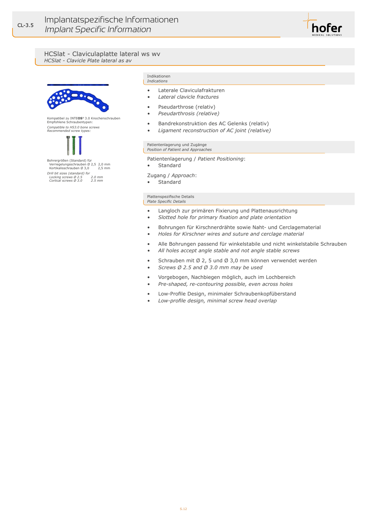

HCSlat - Claviculaplatte lateral ws wv *HCSlat - Clavicle Plate lateral as av*



Kompatibel zu INTE**OS**® 3.0 Knochenschrauben Empfohlene Schraubentypen: *Compatible to HS3.0 bone screws Recommended screw types:*



Bohrergrößen (Standard) für Verriegelungsschrauben Ø 2,5 2,0 mm Kortikalisschrauben Ø 3,0 2,5 mm *Drill bit sizes (standard) for Locking screws Ø 2.5 2.0 mm Cortical screws Ø 3.0 2.5 mm*

#### Indikationen *Indications*

- Laterale Claviculafrakturen
- *• Lateral clavicle fractures*
- Pseudarthrose (relativ)
- *• Pseudarthrosis (relative)*
- Bandrekonstruktion des AC Gelenks (relativ)
- *• Ligament reconstruction of AC joint (relative)*

#### Patientenlagerung und Zugänge *Position of Patient and Approaches*

Patientenlagerung / *Patient Positioning*:

• Standard

Zugang / *Approach*:

• Standard

- Langloch zur primären Fixierung und Plattenausrichtung
- *• Slotted hole for primary fixation and plate orientation*
- Bohrungen für Kirschnerdrähte sowie Naht- und Cerclagematerial
	- *• Holes for Kirschner wires and suture and cerclage material*
- Alle Bohrungen passend für winkelstabile und nicht winkelstabile Schrauben
- *• All holes accept angle stable and not angle stable screws*
- Schrauben mit  $\emptyset$  2, 5 und  $\emptyset$  3,0 mm können verwendet werden
- *• Screws Ø 2.5 and Ø 3.0 mm may be used*
- Vorgebogen, Nachbiegen möglich, auch im Lochbereich
- *• Pre-shaped, re-contouring possible, even across holes*
- Low-Profile Design, minimaler Schraubenkopfüberstand
- *• Low-profile design, minimal screw head overlap*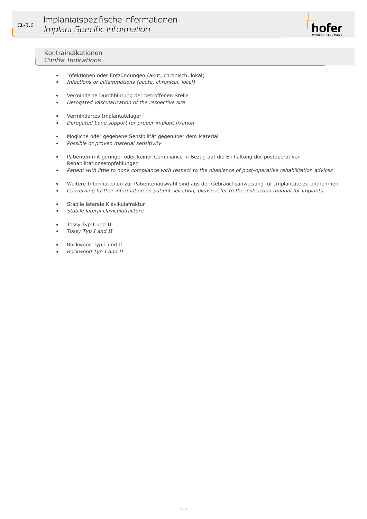

## Kontraindikationen *Contra Indications*

- Infektionen oder Entzündungen (akut, chronisch, lokal)
- *• Infections or inflammations (acute, chronical, local)*
- Verminderte Durchblutung der betroffenen Stelle
- *• Derogated vascularization of the respective site*
- Vermindertes Implantatelager
- *• Derogated bone support for proper implant fixation*
- Mögliche oder gegebene Sensibilität gegenüber dem Material
- *• Possible or proven material sensitivity*
- Patienten mit geringer oder keiner Compliance in Bezug auf die Einhaltung der postoperativen Rehabilitationsempfehlungen
- *• Patient with little to none compliance with respect to the obedience of post-operative rehabilitation advices*
- Weitere Informationen zur Patientenauswahl sind aus der Gebrauchsanweisung für Implantate zu entnehmen
- *• Concerning further information on patient selection, please refer to the instruction manual for implants.*
- Stabile laterale Klavikulafraktur
- *• Stabile lateral claviculafracture*
- Tossy Typ I und II
- *• Tossy Typ I and II*
- Rockwood Typ I und II
- *• Rockwood Typ I and II*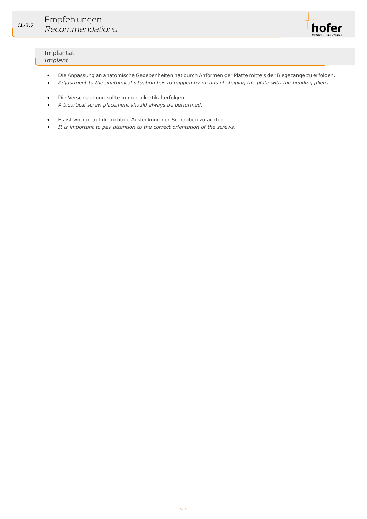

## Implantat *Implant*

- Die Anpassung an anatomische Gegebenheiten hat durch Anformen der Platte mittels der Biegezange zu erfolgen.
- *• Adjustment to the anatomical situation has to happen by means of shaping the plate with the bending pliers.*
- Die Verschraubung sollte immer bikortikal erfolgen.
- *• A bicortical screw placement should always be performed.*
- Es ist wichtig auf die richtige Auslenkung der Schrauben zu achten.
- *• It is important to pay attention to the correct orientation of the screws.*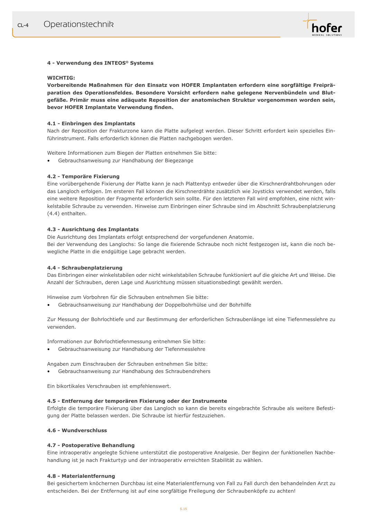

#### **4 - Verwendung des INTEOS® Systems**

#### **WICHTIG:**

**Vorbereitende Maßnahmen für den Einsatz von HOFER Implantaten erfordern eine sorgfältige Freipräparation des Operationsfeldes. Besondere Vorsicht erfordern nahe gelegene Nervenbündeln und Blutgefäße. Primär muss eine adäquate Reposition der anatomischen Struktur vorgenommen worden sein, bevor HOFER Implantate Verwendung finden.** 

#### **4.1 - Einbringen des Implantats**

Nach der Reposition der Frakturzone kann die Platte aufgelegt werden. Dieser Schritt erfordert kein spezielles Einführinstrument. Falls erforderlich können die Platten nachgebogen werden.

Weitere Informationen zum Biegen der Platten entnehmen Sie bitte:

• Gebrauchsanweisung zur Handhabung der Biegezange

## **4.2 - Temporäre Fixierung**

Eine vorübergehende Fixierung der Platte kann je nach Plattentyp entweder über die Kirschnerdrahtbohrungen oder das Langloch erfolgen. Im ersteren Fall können die Kirschnerdrähte zusätzlich wie Joysticks verwendet werden, falls eine weitere Reposition der Fragmente erforderlich sein sollte. Für den letzteren Fall wird empfohlen, eine nicht winkelstabile Schraube zu verwenden. Hinweise zum Einbringen einer Schraube sind im Abschnitt Schraubenplatzierung (4.4) enthalten.

#### **4.3 - Ausrichtung des Implantats**

Die Ausrichtung des Implantats erfolgt entsprechend der vorgefundenen Anatomie. Bei der Verwendung des Langlochs: So lange die fixierende Schraube noch nicht festgezogen ist, kann die noch bewegliche Platte in die endgültige Lage gebracht werden.

## **4.4 - Schraubenplatzierung**

Das Einbringen einer winkelstabilen oder nicht winkelstabilen Schraube funktioniert auf die gleiche Art und Weise. Die Anzahl der Schrauben, deren Lage und Ausrichtung müssen situationsbedingt gewählt werden.

Hinweise zum Vorbohren für die Schrauben entnehmen Sie bitte:

• Gebrauchsanweisung zur Handhabung der Doppelbohrhülse und der Bohrhilfe

Zur Messung der Bohrlochtiefe und zur Bestimmung der erforderlichen Schraubenlänge ist eine Tiefenmesslehre zu verwenden.

Informationen zur Bohrlochtiefenmessung entnehmen Sie bitte:

• Gebrauchsanweisung zur Handhabung der Tiefenmesslehre

Angaben zum Einschrauben der Schrauben entnehmen Sie bitte:

• Gebrauchsanweisung zur Handhabung des Schraubendrehers

Ein bikortikales Verschrauben ist empfehlenswert.

## **4.5 - Entfernung der temporären Fixierung oder der Instrumente**

Erfolgte die temporäre Fixierung über das Langloch so kann die bereits eingebrachte Schraube als weitere Befestigung der Platte belassen werden. Die Schraube ist hierfür festzuziehen.

## **4.6 - Wundverschluss**

## **4.7 - Postoperative Behandlung**

Eine intraoperativ angelegte Schiene unterstützt die postoperative Analgesie. Der Beginn der funktionellen Nachbehandlung ist je nach Frakturtyp und der intraoperativ erreichten Stabilität zu wählen.

## **4.8 - Materialentfernung**

Bei gesichertem knöchernen Durchbau ist eine Materialentfernung von Fall zu Fall durch den behandelnden Arzt zu entscheiden. Bei der Entfernung ist auf eine sorgfältige Freilegung der Schraubenköpfe zu achten!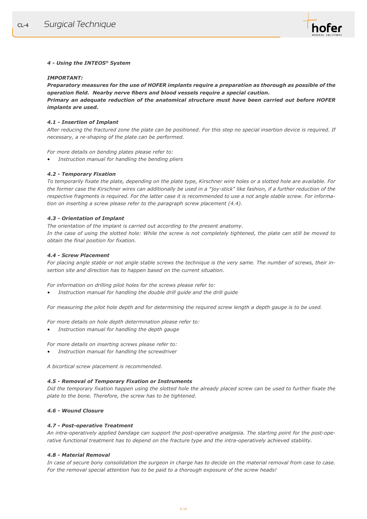

## *4 - Using the INTEOS® System*

#### *IMPORTANT:*

*Preparatory measures for the use of HOFER implants require a preparation as thorough as possible of the operation field. Nearby nerve fibers and blood vessels require a special caution. Primary an adequate reduction of the anatomical structure must have been carried out before HOFER implants are used.* 

## *4.1 - Insertion of Implant*

*After reducing the fractured zone the plate can be positioned. For this step no special insertion device is required. If necessary, a re-shaping of the plate can be performed.*

#### *For more details on bending plates please refer to:*

*• Instruction manual for handling the bending pliers*

## *4.2 - Temporary Fixation*

*To temporarily fixate the plate, depending on the plate type, Kirschner wire holes or a slotted hole are available. For the former case the Kirschner wires can additionally be used in a ″joy-stick" like fashion, if a further reduction of the respective fragments is required. For the latter case it is recommended to use a not angle stable screw. For information on inserting a screw please refer to the paragraph screw placement (4.4).*

#### *4.3 - Orientation of Implant*

*The orientation of the implant is carried out according to the present anatomy.*

*In the case of using the slotted hole: While the screw is not completely tightened, the plate can still be moved to obtain the final position for fixation.*

#### *4.4 - Screw Placement*

*For placing angle stable or not angle stable screws the technique is the very same. The number of screws, their insertion site and direction has to happen based on the current situation.*

*For information on drilling pilot holes for the screws please refer to:*

*• Instruction manual for handling the double drill guide and the drill guide*

*For measuring the pilot hole depth and for determining the required screw length a depth gauge is to be used.* 

*For more details on hole depth determination please refer to:*

*• Instruction manual for handling the depth gauge*

*For more details on inserting screws please refer to:* 

*• Instruction manual for handling the screwdriver*

*A bicortical screw placement is recommended.* 

## *4.5 - Removal of Temporary Fixation or Instruments*

*Did the temporary fixation happen using the slotted hole the already placed screw can be used to further fixate the plate to the bone. Therefore, the screw has to be tightened.*

## *4.6 - Wound Closure*

## *4.7 - Post-operative Treatment*

*An intra-operatively applied bandage can support the post-operative analgesia. The starting point for the post-operative functional treatment has to depend on the fracture type and the intra-operatively achieved stability.*

#### *4.8 - Material Removal*

*In case of secure bony consolidation the surgeon in charge has to decide on the material removal from case to case. For the removal special attention has to be paid to a thorough exposure of the screw heads!*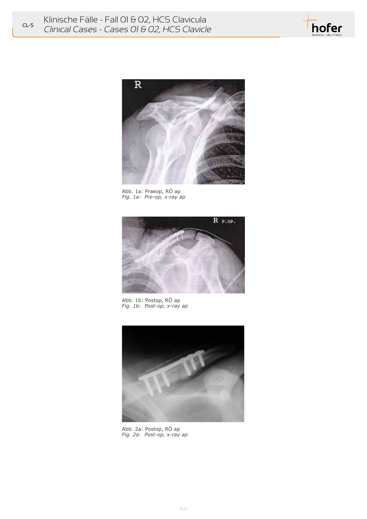



Abb. 1a: Praeop, RO ap *Fig. 1a: Pre-op, x-ray ap*



Abb. 1b: Postop, RO ap *Fig. 1b: Post-op, x-ray ap*



Abb. 2a: Postop, RÖ ap *Fig. 2a: Post-op, x-ray ap*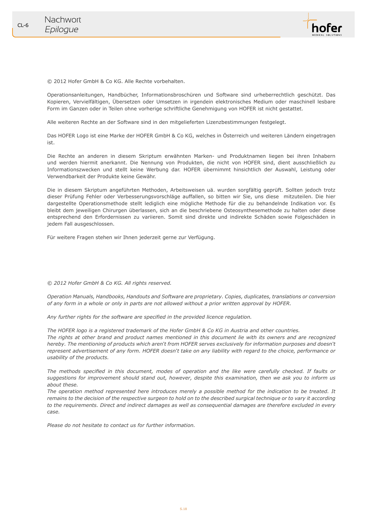

© 2012 Hofer GmbH & Co KG. Alle Rechte vorbehalten.

Operationsanleitungen, Handbücher, Informationsbroschüren und Software sind urheberrechtlich geschützt. Das Kopieren, Vervielfältigen, Übersetzen oder Umsetzen in irgendein elektronisches Medium oder maschinell lesbare Form im Ganzen oder in Teilen ohne vorherige schriftliche Genehmigung von HOFER ist nicht gestattet.

Alle weiteren Rechte an der Software sind in den mitgelieferten Lizenzbestimmungen festgelegt.

Das HOFER Logo ist eine Marke der HOFER GmbH & Co KG, welches in Österreich und weiteren Ländern eingetragen ist.

Die Rechte an anderen in diesem Skriptum erwähnten Marken- und Produktnamen liegen bei ihren Inhabern und werden hiermit anerkannt. Die Nennung von Produkten, die nicht von HOFER sind, dient ausschließlich zu Informationszwecken und stellt keine Werbung dar. HOFER übernimmt hinsichtlich der Auswahl, Leistung oder Verwendbarkeit der Produkte keine Gewähr.

Die in diesem Skriptum angeführten Methoden, Arbeitsweisen uä. wurden sorgfältig geprüft. Sollten jedoch trotz dieser Prüfung Fehler oder Verbesserungsvorschläge auffallen, so bitten wir Sie, uns diese mitzuteilen. Die hier dargestellte Operationsmethode stellt lediglich eine mögliche Methode für die zu behandelnde Indikation vor. Es bleibt dem jeweiligen Chirurgen überlassen, sich an die beschriebene Osteosynthesemethode zu halten oder diese entsprechend den Erfordernissen zu variieren. Somit sind direkte und indirekte Schäden sowie Folgeschäden in jedem Fall ausgeschlossen.

Für weitere Fragen stehen wir Ihnen jederzeit gerne zur Verfügung.

*© 2012 Hofer GmbH & Co KG. All rights reserved.*

*Operation Manuals, Handbooks, Handouts and Software are proprietary. Copies, duplicates, translations or conversion of any form in a whole or only in parts are not allowed without a prior written approval by HOFER.*

*Any further rights for the software are specified in the provided licence regulation.*

*The HOFER logo is a registered trademark of the Hofer GmbH & Co KG in Austria and other countries.* 

*The rights at other brand and product names mentioned in this document lie with its owners and are recognized*  hereby. The mentioning of products which aren't from HOFER serves exclusively for information purposes and doesn't *represent advertisement of any form. HOFER doesn't take on any liability with regard to the choice, performance or usability of the products.*

*The methods specified in this document, modes of operation and the like were carefully checked. If faults or suggestions for improvement should stand out, however, despite this examination, then we ask you to inform us about these.* 

*The operation method represented here introduces merely a possible method for the indication to be treated. It remains to the decision of the respective surgeon to hold on to the described surgical technique or to vary it according to the requirements. Direct and indirect damages as well as consequential damages are therefore excluded in every case.*

*Please do not hesitate to contact us for further information.*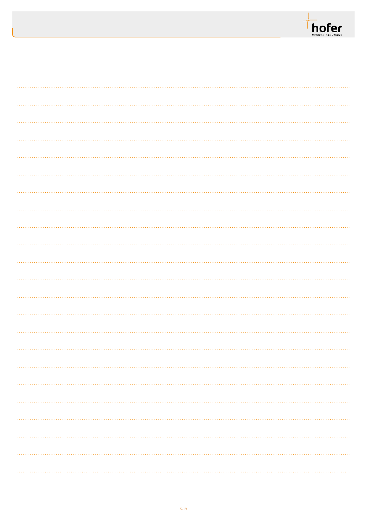